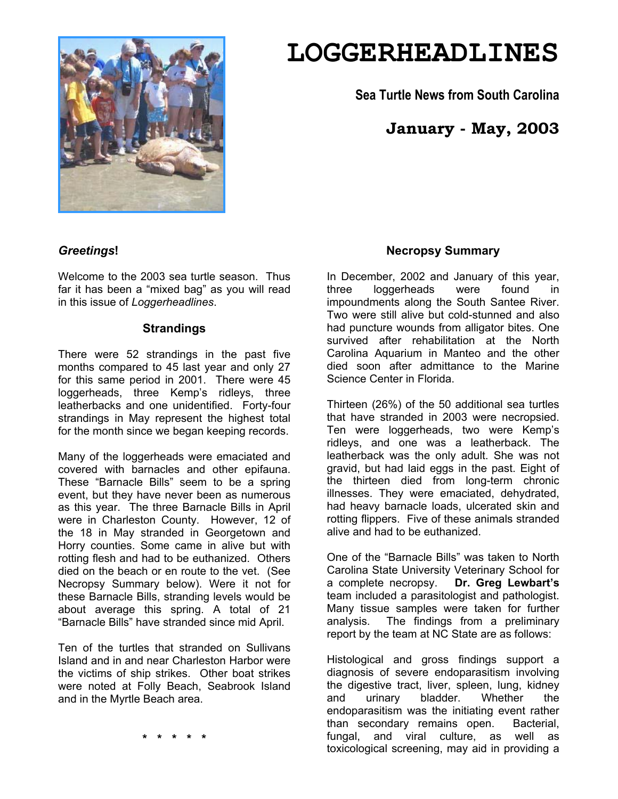

# **LOGGERHEADLINES**

**Sea Turtle News from South Carolina** 

# **January - May, 2003**

# *Greetings***!**

Welcome to the 2003 sea turtle season. Thus far it has been a "mixed bag" as you will read in this issue of *Loggerheadlines*.

#### **Strandings**

There were 52 strandings in the past five months compared to 45 last year and only 27 for this same period in 2001. There were 45 loggerheads, three Kemp's ridleys, three leatherbacks and one unidentified. Forty-four strandings in May represent the highest total for the month since we began keeping records.

Many of the loggerheads were emaciated and covered with barnacles and other epifauna. These "Barnacle Bills" seem to be a spring event, but they have never been as numerous as this year. The three Barnacle Bills in April were in Charleston County. However, 12 of the 18 in May stranded in Georgetown and Horry counties. Some came in alive but with rotting flesh and had to be euthanized. Others died on the beach or en route to the vet. (See Necropsy Summary below). Were it not for these Barnacle Bills, stranding levels would be about average this spring. A total of 21 "Barnacle Bills" have stranded since mid April.

Ten of the turtles that stranded on Sullivans Island and in and near Charleston Harbor were the victims of ship strikes. Other boat strikes were noted at Folly Beach, Seabrook Island and in the Myrtle Beach area.

### **Necropsy Summary**

In December, 2002 and January of this year, three loggerheads were found in impoundments along the South Santee River. Two were still alive but cold-stunned and also had puncture wounds from alligator bites. One survived after rehabilitation at the North Carolina Aquarium in Manteo and the other died soon after admittance to the Marine Science Center in Florida.

Thirteen (26%) of the 50 additional sea turtles that have stranded in 2003 were necropsied. Ten were loggerheads, two were Kemp's ridleys, and one was a leatherback. The leatherback was the only adult. She was not gravid, but had laid eggs in the past. Eight of the thirteen died from long-term chronic illnesses. They were emaciated, dehydrated, had heavy barnacle loads, ulcerated skin and rotting flippers. Five of these animals stranded alive and had to be euthanized.

One of the "Barnacle Bills" was taken to North Carolina State University Veterinary School for a complete necropsy. **Dr. Greg Lewbart's** team included a parasitologist and pathologist. Many tissue samples were taken for further analysis. The findings from a preliminary report by the team at NC State are as follows:

Histological and gross findings support a diagnosis of severe endoparasitism involving the digestive tract, liver, spleen, lung, kidney and urinary bladder. Whether the endoparasitism was the initiating event rather than secondary remains open. Bacterial, fungal, and viral culture, as well as toxicological screening, may aid in providing a

**\* \* \* \* \***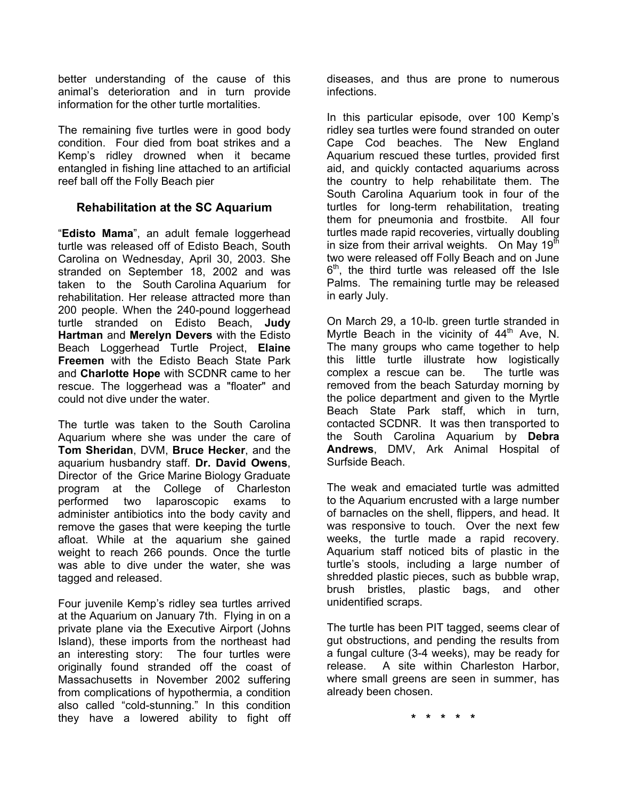better understanding of the cause of this animal's deterioration and in turn provide information for the other turtle mortalities.

The remaining five turtles were in good body condition. Four died from boat strikes and a Kemp's ridley drowned when it became entangled in fishing line attached to an artificial reef ball off the Folly Beach pier

# **Rehabilitation at the SC Aquarium**

"**Edisto Mama**", an adult female loggerhead turtle was released off of Edisto Beach, South Carolina on Wednesday, April 30, 2003. She stranded on September 18, 2002 and was taken to the South Carolina Aquarium for rehabilitation. Her release attracted more than 200 people. When the 240-pound loggerhead turtle stranded on Edisto Beach, **Judy Hartman** and **Merelyn Devers** with the Edisto Beach Loggerhead Turtle Project, **Elaine Freemen** with the Edisto Beach State Park and **Charlotte Hope** with SCDNR came to her rescue. The loggerhead was a "floater" and could not dive under the water.

The turtle was taken to the South Carolina Aquarium where she was under the care of **Tom Sheridan**, DVM, **Bruce Hecker**, and the aquarium husbandry staff. **Dr. David Owens**, Director of the Grice Marine Biology Graduate program at the College of Charleston performed two laparoscopic exams to administer antibiotics into the body cavity and remove the gases that were keeping the turtle afloat. While at the aquarium she gained weight to reach 266 pounds. Once the turtle was able to dive under the water, she was tagged and released.

Four juvenile Kemp's ridley sea turtles arrived at the Aquarium on January 7th. Flying in on a private plane via the Executive Airport (Johns Island), these imports from the northeast had an interesting story: The four turtles were originally found stranded off the coast of Massachusetts in November 2002 suffering from complications of hypothermia, a condition also called "cold-stunning." In this condition they have a lowered ability to fight off diseases, and thus are prone to numerous infections.

In this particular episode, over 100 Kemp's ridley sea turtles were found stranded on outer Cape Cod beaches. The New England Aquarium rescued these turtles, provided first aid, and quickly contacted aquariums across the country to help rehabilitate them. The South Carolina Aquarium took in four of the turtles for long-term rehabilitation, treating them for pneumonia and frostbite. All four turtles made rapid recoveries, virtually doubling in size from their arrival weights. On May  $19<sup>th</sup>$ two were released off Folly Beach and on June  $6<sup>th</sup>$ , the third turtle was released off the Isle Palms. The remaining turtle may be released in early July.

On March 29, a 10-lb. green turtle stranded in Myrtle Beach in the vicinity of  $44<sup>th</sup>$  Ave, N. The many groups who came together to help this little turtle illustrate how logistically complex a rescue can be. The turtle was removed from the beach Saturday morning by the police department and given to the Myrtle Beach State Park staff, which in turn, contacted SCDNR. It was then transported to the South Carolina Aquarium by **Debra Andrews**, DMV, Ark Animal Hospital of Surfside Beach.

The weak and emaciated turtle was admitted to the Aquarium encrusted with a large number of barnacles on the shell, flippers, and head. It was responsive to touch. Over the next few weeks, the turtle made a rapid recovery. Aquarium staff noticed bits of plastic in the turtle's stools, including a large number of shredded plastic pieces, such as bubble wrap, brush bristles, plastic bags, and other unidentified scraps.

The turtle has been PIT tagged, seems clear of gut obstructions, and pending the results from a fungal culture (3-4 weeks), may be ready for release. A site within Charleston Harbor, where small greens are seen in summer, has already been chosen.

**\* \* \* \* \***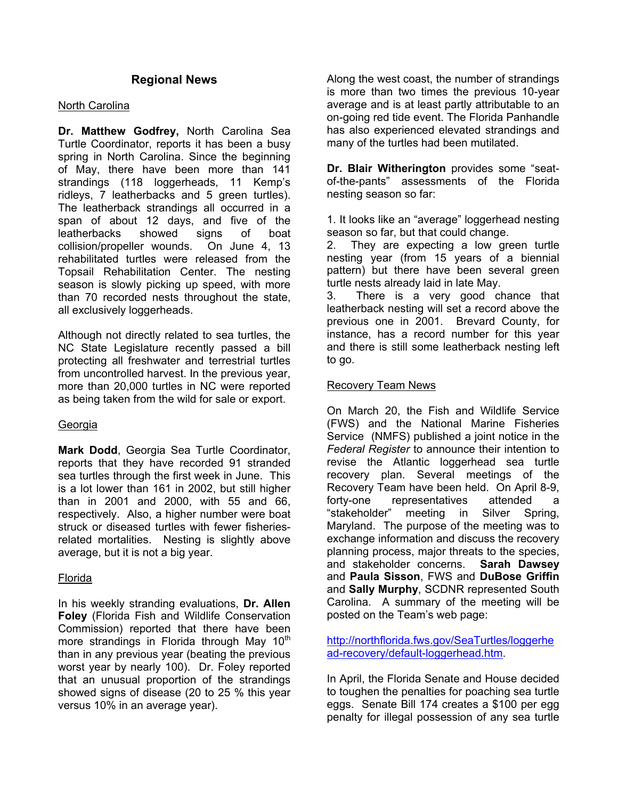### **Regional News**

#### North Carolina

**Dr. Matthew Godfrey,** North Carolina Sea Turtle Coordinator, reports it has been a busy spring in North Carolina. Since the beginning of May, there have been more than 141 strandings (118 loggerheads, 11 Kemp's ridleys, 7 leatherbacks and 5 green turtles). The leatherback strandings all occurred in a span of about 12 days, and five of the leatherbacks showed signs of boat collision/propeller wounds. On June 4, 13 rehabilitated turtles were released from the Topsail Rehabilitation Center. The nesting season is slowly picking up speed, with more than 70 recorded nests throughout the state, all exclusively loggerheads.

Although not directly related to sea turtles, the NC State Legislature recently passed a bill protecting all freshwater and terrestrial turtles from uncontrolled harvest. In the previous year, more than 20,000 turtles in NC were reported as being taken from the wild for sale or export.

#### Georgia

**Mark Dodd**, Georgia Sea Turtle Coordinator, reports that they have recorded 91 stranded sea turtles through the first week in June. This is a lot lower than 161 in 2002, but still higher than in 2001 and 2000, with 55 and 66, respectively. Also, a higher number were boat struck or diseased turtles with fewer fisheriesrelated mortalities. Nesting is slightly above average, but it is not a big year.

#### Florida

In his weekly stranding evaluations, **Dr. Allen Foley** (Florida Fish and Wildlife Conservation Commission) reported that there have been more strandings in Florida through May  $10<sup>th</sup>$ than in any previous year (beating the previous worst year by nearly 100). Dr. Foley reported that an unusual proportion of the strandings showed signs of disease (20 to 25 % this year versus 10% in an average year).

Along the west coast, the number of strandings is more than two times the previous 10-year average and is at least partly attributable to an on-going red tide event. The Florida Panhandle has also experienced elevated strandings and many of the turtles had been mutilated.

**Dr. Blair Witherington** provides some "seatof-the-pants" assessments of the Florida nesting season so far:

1. It looks like an "average" loggerhead nesting season so far, but that could change.

2. They are expecting a low green turtle nesting year (from 15 years of a biennial pattern) but there have been several green turtle nests already laid in late May.

3. There is a very good chance that leatherback nesting will set a record above the previous one in 2001. Brevard County, for instance, has a record number for this year and there is still some leatherback nesting left to go.

#### Recovery Team News

On March 20, the Fish and Wildlife Service (FWS) and the National Marine Fisheries Service (NMFS) published a joint notice in the *Federal Register* to announce their intention to revise the Atlantic loggerhead sea turtle recovery plan. Several meetings of the Recovery Team have been held. On April 8-9, forty-one representatives attended a "stakeholder" meeting in Silver Spring, Maryland. The purpose of the meeting was to exchange information and discuss the recovery planning process, major threats to the species, and stakeholder concerns. **Sarah Dawsey** and **Paula Sisson**, FWS and **DuBose Griffin** and **Sally Murphy**, SCDNR represented South Carolina. A summary of the meeting will be posted on the Team's web page:

http://northflorida.fws.gov/SeaTurtles/loggerhe ad-recovery/default-loggerhead.htm.

In April, the Florida Senate and House decided to toughen the penalties for poaching sea turtle eggs. Senate Bill 174 creates a \$100 per egg penalty for illegal possession of any sea turtle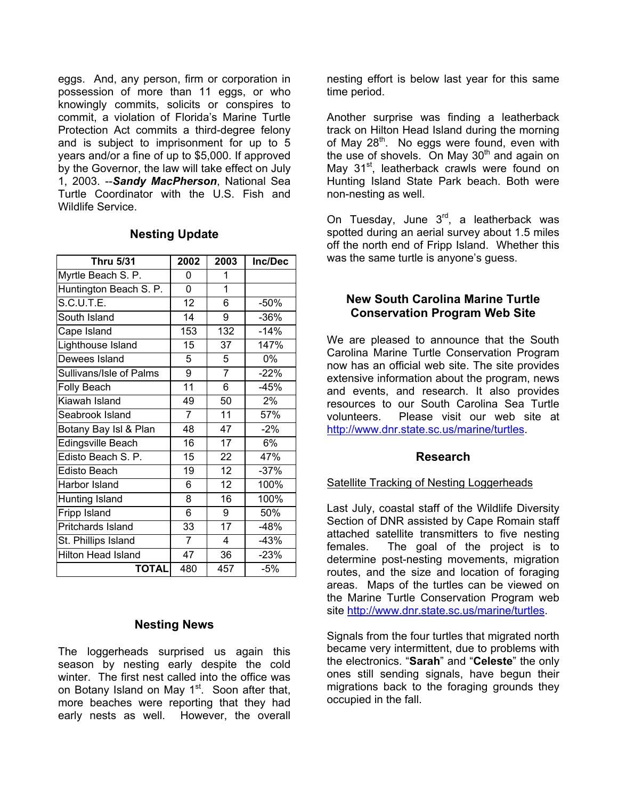eggs. And, any person, firm or corporation in possession of more than 11 eggs, or who knowingly commits, solicits or conspires to commit, a violation of Florida's Marine Turtle Protection Act commits a third-degree felony and is subject to imprisonment for up to 5 years and/or a fine of up to \$5,000. If approved by the Governor, the law will take effect on July 1, 2003. --*Sandy MacPherson*, National Sea Turtle Coordinator with the U.S. Fish and Wildlife Service.

| <b>Thru 5/31</b>          | 2002           | 2003           | Inc/Dec |
|---------------------------|----------------|----------------|---------|
| Myrtle Beach S. P.        | 0              | 1              |         |
| Huntington Beach S. P.    | 0              | 1              |         |
| S.C.U.T.E.                | 12             | 6              | $-50%$  |
| South Island              | 14             | 9              | $-36%$  |
| Cape Island               | 153            | 132            | $-14%$  |
| Lighthouse Island         | 15             | 37             | 147%    |
| Dewees Island             | 5              | 5              | 0%      |
| Sullivans/Isle of Palms   | 9              | $\overline{7}$ | $-22%$  |
| Folly Beach               | 11             | 6              | -45%    |
| Kiawah Island             | 49             | 50             | 2%      |
| Seabrook Island           | $\overline{7}$ | 11             | 57%     |
| Botany Bay Isl & Plan     | 48             | 47             | $-2%$   |
| Edingsville Beach         | 16             | 17             | 6%      |
| Edisto Beach S. P.        | 15             | 22             | 47%     |
| Edisto Beach              | 19             | 12             | $-37%$  |
| Harbor Island             | 6              | 12             | 100%    |
| Hunting Island            | 8              | 16             | 100%    |
| Fripp Island              | 6              | 9              | 50%     |
| Pritchards Island         | 33             | 17             | $-48%$  |
| St. Phillips Island       | $\overline{7}$ | 4              | $-43%$  |
| <b>Hilton Head Island</b> | 47             | 36             | $-23%$  |
| TOTAL                     | 480            | 457            | $-5%$   |

#### **Nesting Update**

#### **Nesting News**

The loggerheads surprised us again this season by nesting early despite the cold winter. The first nest called into the office was on Botany Island on May 1<sup>st</sup>. Soon after that, more beaches were reporting that they had early nests as well. However, the overall

nesting effort is below last year for this same time period.

Another surprise was finding a leatherback track on Hilton Head Island during the morning of May 28<sup>th</sup>. No eggs were found, even with the use of shovels. On May  $30<sup>th</sup>$  and again on May 31<sup>st</sup>, leatherback crawls were found on Hunting Island State Park beach. Both were non-nesting as well.

On Tuesday, June  $3<sup>rd</sup>$ , a leatherback was spotted during an aerial survey about 1.5 miles off the north end of Fripp Island. Whether this was the same turtle is anyone's guess.

#### **New South Carolina Marine Turtle Conservation Program Web Site**

We are pleased to announce that the South Carolina Marine Turtle Conservation Program now has an official web site. The site provides extensive information about the program, news and events, and research. It also provides resources to our South Carolina Sea Turtle volunteers. Please visit our web site at http://www.dnr.state.sc.us/marine/turtles.

#### **Research**

#### Satellite Tracking of Nesting Loggerheads

Last July, coastal staff of the Wildlife Diversity Section of DNR assisted by Cape Romain staff attached satellite transmitters to five nesting females. The goal of the project is to determine post-nesting movements, migration routes, and the size and location of foraging areas. Maps of the turtles can be viewed on the Marine Turtle Conservation Program web site http://www.dnr.state.sc.us/marine/turtles.

Signals from the four turtles that migrated north became very intermittent, due to problems with the electronics. "**Sarah**" and "**Celeste**" the only ones still sending signals, have begun their migrations back to the foraging grounds they occupied in the fall.